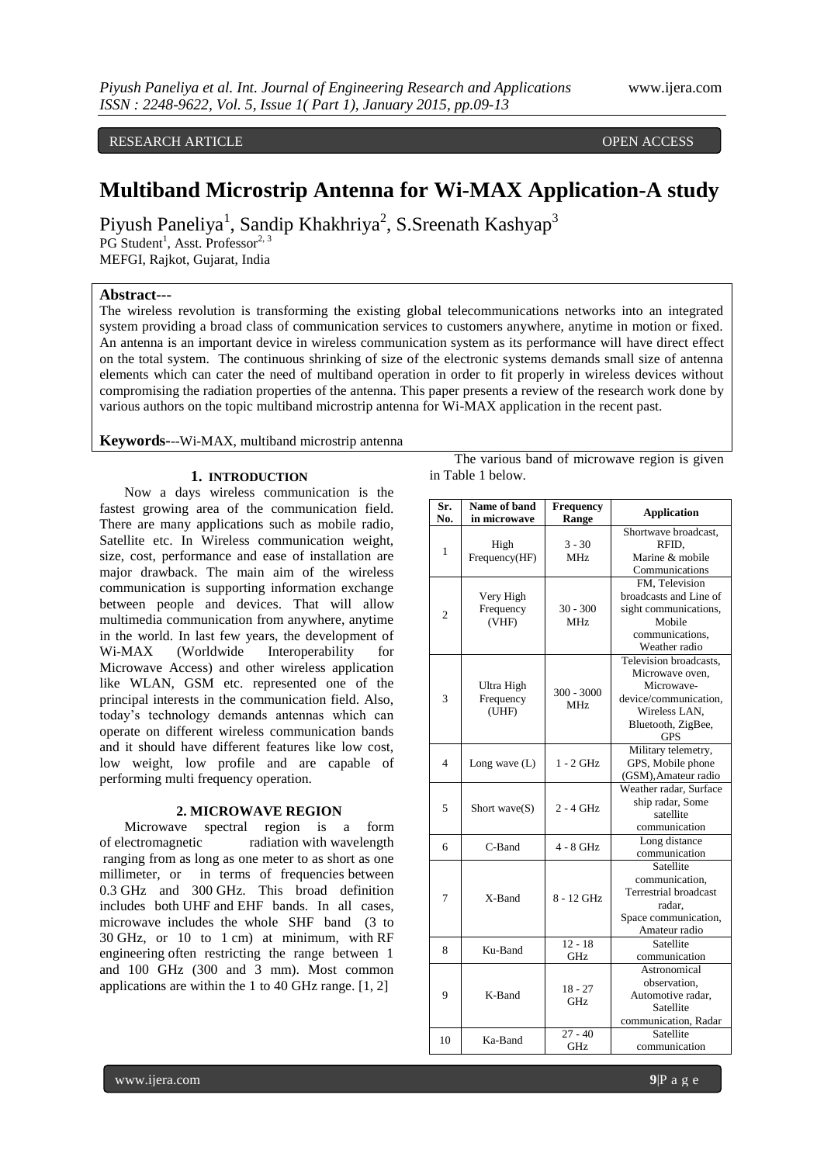RESEARCH ARTICLE **CONSERVERS** OPEN ACCESS **OPEN ACCESS** 

# **Multiband Microstrip Antenna for Wi-MAX Application-A study**

Piyush Paneliya<sup>1</sup>, Sandip Khakhriya<sup>2</sup>, S.Sreenath Kashyap<sup>3</sup>

PG Student<sup>1</sup>, Asst. Professor<sup>2, 3</sup>

MEFGI, Rajkot, Gujarat, India

## **Abstract---**

The wireless revolution is transforming the existing global telecommunications networks into an integrated system providing a broad class of communication services to customers anywhere, anytime in motion or fixed. An antenna is an important device in wireless communication system as its performance will have direct effect on the total system. The continuous shrinking of size of the electronic systems demands small size of antenna elements which can cater the need of multiband operation in order to fit properly in wireless devices without compromising the radiation properties of the antenna. This paper presents a review of the research work done by various authors on the topic multiband microstrip antenna for Wi-MAX application in the recent past.

**Keywords-**--Wi-MAX, multiband microstrip antenna

#### **1. INTRODUCTION**

Now a days wireless communication is the fastest growing area of the communication field. There are many applications such as mobile radio, Satellite etc. In Wireless communication weight, size, cost, performance and ease of installation are major drawback. The main aim of the wireless communication is supporting information exchange between people and devices. That will allow multimedia communication from anywhere, anytime in the world. In last few years, the development of Wi-MAX (Worldwide Interoperability for Microwave Access) and other wireless application like WLAN, GSM etc. represented one of the principal interests in the communication field. Also, today's technology demands antennas which can operate on different wireless communication bands and it should have different features like low cost, low weight, low profile and are capable of performing multi frequency operation.

#### **2. MICROWAVE REGION**

Microwave spectral region is a form of electromagnetic radiation with wavelength ranging from as long as one meter to as short as one millimeter, or in terms of frequencies between 0.3 GHz and 300 GHz. This broad definition includes both UHF and EHF bands. In all cases, microwave includes the whole SHF band (3 to 30 GHz, or 10 to 1 cm) at minimum, with RF engineering often restricting the range between 1 and 100 GHz (300 and 3 mm). Most common applications are within the 1 to 40 GHz range. [1, 2]

The various band of microwave region is given in Table 1 below.

| Sr.<br>No.     | Name of band<br>in microwave     | <b>Frequency</b><br>Range | <b>Application</b>                                                                                                                    |  |
|----------------|----------------------------------|---------------------------|---------------------------------------------------------------------------------------------------------------------------------------|--|
| 1              | High<br>Frequency(HF)            | $3 - 30$<br>MHz.          | Shortwave broadcast,<br>RFID.<br>Marine & mobile<br>Communications                                                                    |  |
| 2              | Very High<br>Frequency<br>(VHF)  | $30 - 300$<br><b>MHz</b>  | FM, Television<br>broadcasts and Line of<br>sight communications,<br>Mobile<br>communications.<br>Weather radio                       |  |
| 3              | Ultra High<br>Frequency<br>(UHF) | $300 - 3000$<br>MHz.      | Television broadcasts,<br>Microwave oven,<br>Microwave-<br>device/communication,<br>Wireless LAN,<br>Bluetooth, ZigBee,<br><b>GPS</b> |  |
| $\overline{4}$ | Long wave $(L)$                  | $1 - 2$ GHz               | Military telemetry,<br>GPS, Mobile phone<br>(GSM), Amateur radio                                                                      |  |
| 5              | Short wave $(S)$                 | $2 - 4$ GHz               | Weather radar, Surface<br>ship radar, Some<br>satellite<br>communication                                                              |  |
| 6              | C-Band                           | 4 - 8 GHz                 | Long distance<br>communication                                                                                                        |  |
| 7              | X-Band                           | 8 - 12 GHz                | Satellite<br>communication.<br>Terrestrial broadcast<br>radar.<br>Space communication,<br>Amateur radio                               |  |
| 8              | Ku-Band                          | $12 - 18$<br>GHz          | Satellite<br>communication                                                                                                            |  |
| 9              | K-Band                           | $18 - 27$<br>GHz          | Astronomical<br>observation,<br>Automotive radar,<br>Satellite<br>communication, Radar                                                |  |
| 10             | Ka-Band                          | $27 - 40$<br>GHz          | Satellite<br>communication                                                                                                            |  |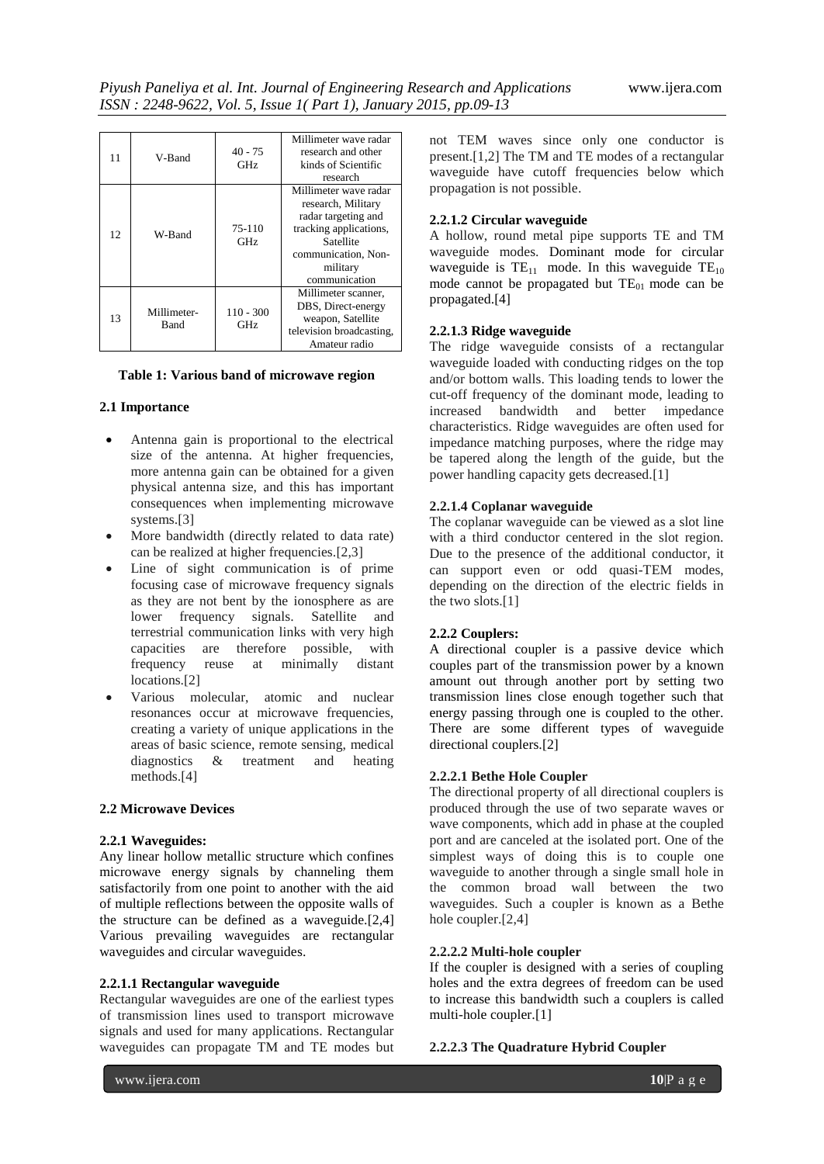| 11 | V-Band              | $40 - 75$<br>GHz   | Millimeter wave radar<br>research and other<br>kinds of Scientific<br>research                                                                                |  |
|----|---------------------|--------------------|---------------------------------------------------------------------------------------------------------------------------------------------------------------|--|
| 12 | W-Band              | 75-110<br>GHz      | Millimeter wave radar<br>research, Military<br>radar targeting and<br>tracking applications,<br>Satellite<br>communication, Non-<br>military<br>communication |  |
| 13 | Millimeter-<br>Band | $110 - 300$<br>GHz | Millimeter scanner,<br>DBS, Direct-energy<br>weapon, Satellite<br>television broadcasting,<br>Amateur radio                                                   |  |

## **Table 1: Various band of microwave region**

## **2.1 Importance**

- Antenna gain is proportional to the electrical size of the antenna. At higher frequencies, more antenna gain can be obtained for a given physical antenna size, and this has important consequences when implementing microwave systems.[3]
- More bandwidth (directly related to data rate) can be realized at higher frequencies.[2,3]
- Line of sight communication is of prime focusing case of microwave frequency signals as they are not bent by the ionosphere as are lower frequency signals. Satellite and terrestrial communication links with very high capacities are therefore possible, with frequency reuse at minimally distant locations.[2]
- Various molecular, atomic and nuclear resonances occur at microwave frequencies, creating a variety of unique applications in the areas of basic science, remote sensing, medical diagnostics & treatment and heating methods.[4]

## **2.2 Microwave Devices**

## **2.2.1 Waveguides:**

Any linear hollow metallic structure which confines microwave energy signals by channeling them satisfactorily from one point to another with the aid of multiple reflections between the opposite walls of the structure can be defined as a waveguide.[2,4] Various prevailing waveguides are rectangular waveguides and circular waveguides.

# **2.2.1.1 Rectangular waveguide**

Rectangular waveguides are one of the earliest types of transmission lines used to transport microwave signals and used for many applications. Rectangular waveguides can propagate TM and TE modes but

not TEM waves since only one conductor is present.[1,2] The TM and TE modes of a rectangular waveguide have cutoff frequencies below which propagation is not possible.

## **2.2.1.2 Circular waveguide**

A hollow, round metal pipe supports TE and TM waveguide modes. Dominant mode for circular waveguide is  $TE_{11}$  mode. In this waveguide  $TE_{10}$ mode cannot be propagated but  $TE_{01}$  mode can be propagated.[4]

## **2.2.1.3 Ridge waveguide**

The ridge waveguide consists of a rectangular waveguide loaded with conducting ridges on the top and/or bottom walls. This loading tends to lower the cut-off frequency of the dominant mode, leading to increased bandwidth and better impedance characteristics. Ridge waveguides are often used for impedance matching purposes, where the ridge may be tapered along the length of the guide, but the power handling capacity gets decreased.[1]

## **2.2.1.4 Coplanar waveguide**

The coplanar waveguide can be viewed as a slot line with a third conductor centered in the slot region. Due to the presence of the additional conductor, it can support even or odd quasi-TEM modes, depending on the direction of the electric fields in the two slots.[1]

## **2.2.2 Couplers:**

A directional coupler is a passive device which couples part of the transmission power by a known amount out through another port by setting two transmission lines close enough together such that energy passing through one is coupled to the other. There are some different types of waveguide directional couplers.[2]

# **2.2.2.1 Bethe Hole Coupler**

The directional property of all directional couplers is produced through the use of two separate waves or wave components, which add in phase at the coupled port and are canceled at the isolated port. One of the simplest ways of doing this is to couple one waveguide to another through a single small hole in the common broad wall between the two waveguides. Such a coupler is known as a Bethe hole coupler.[2,4]

#### **2.2.2.2 Multi-hole coupler**

If the coupler is designed with a series of coupling holes and the extra degrees of freedom can be used to increase this bandwidth such a couplers is called multi-hole coupler.[1]

## **2.2.2.3 The Quadrature Hybrid Coupler**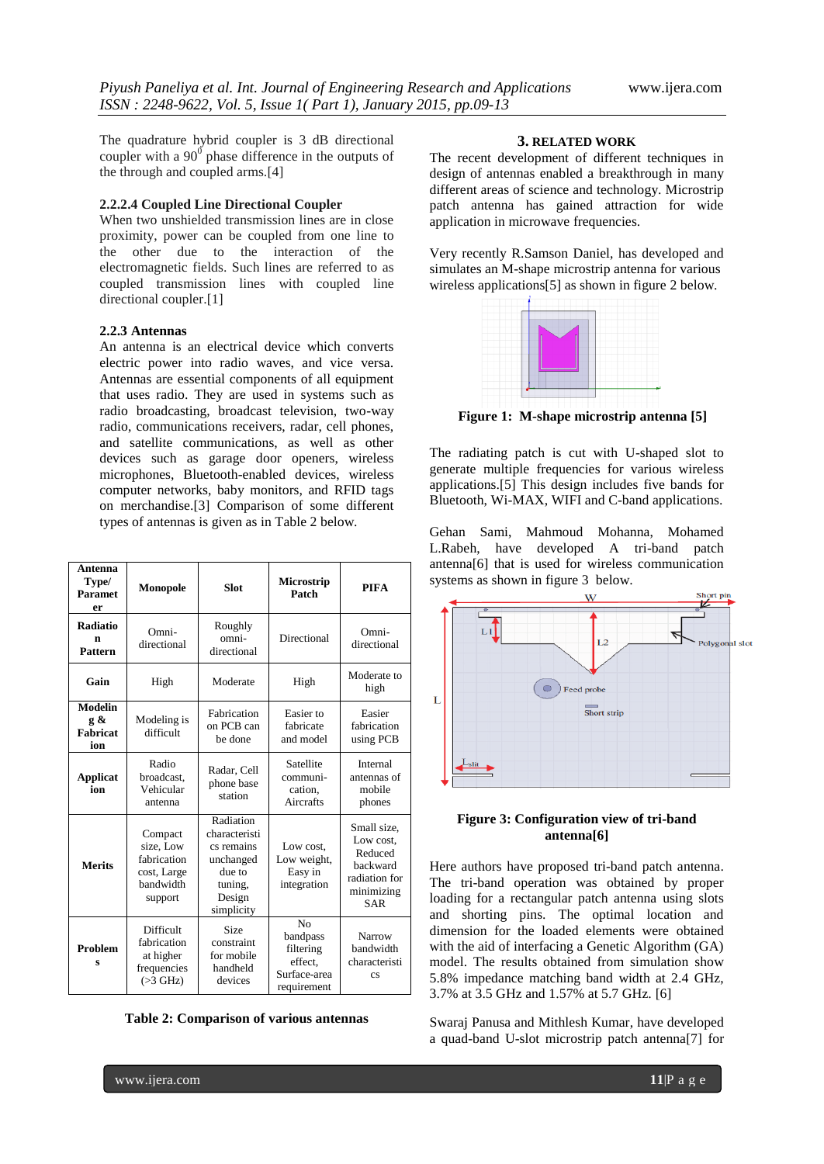The quadrature hybrid coupler is 3 dB directional coupler with a  $90^{\circ}$  phase difference in the outputs of the through and coupled arms.[4]

## **2.2.2.4 Coupled Line Directional Coupler**

When two unshielded transmission lines are in close proximity, power can be coupled from one line to the other due to the interaction of the electromagnetic fields. Such lines are referred to as coupled transmission lines with coupled line directional coupler.[1]

## **2.2.3 Antennas**

An antenna is an electrical device which converts electric power into radio waves, and vice versa. Antennas are essential components of all equipment that uses radio. They are used in systems such as radio broadcasting, broadcast television, two-way radio, communications receivers, radar, cell phones, and satellite communications, as well as other devices such as garage door openers, wireless microphones, Bluetooth-enabled devices, wireless computer networks, baby monitors, and RFID tags on merchandise.[3] Comparison of some different types of antennas is given as in Table 2 below.

| Antenna<br>Type/<br><b>Paramet</b><br>er | Monopole                                                                   | <b>Slot</b>                                                                                        | Microstrip<br>Patch                                                               | <b>PIFA</b>                                                                                  |
|------------------------------------------|----------------------------------------------------------------------------|----------------------------------------------------------------------------------------------------|-----------------------------------------------------------------------------------|----------------------------------------------------------------------------------------------|
| <b>Radiatio</b><br>n<br><b>Pattern</b>   | Omni-<br>directional                                                       | Roughly<br>omni-<br>directional                                                                    | Directional                                                                       | Omni-<br>directional                                                                         |
| Gain                                     | High                                                                       | Moderate                                                                                           | High                                                                              | Moderate to<br>high                                                                          |
| <b>Modelin</b><br>g &<br>Fabricat<br>ion | Modeling is<br>difficult                                                   | Fabrication<br>on PCB can<br>be done                                                               | Easier to<br>fabricate<br>and model                                               | Easier<br>fabrication<br>using PCB                                                           |
| <b>Applicat</b><br>ion                   | Radio<br>broadcast,<br>Vehicular<br>antenna                                | Radar, Cell<br>phone base<br>station                                                               | Satellite<br>communi-<br>cation.<br>Aircrafts                                     | Internal<br>antennas of<br>mobile<br>phones                                                  |
| <b>Merits</b>                            | Compact<br>size, Low<br>fabrication<br>cost, Large<br>bandwidth<br>support | Radiation<br>characteristi<br>cs remains<br>unchanged<br>due to<br>tuning,<br>Design<br>simplicity | Low cost.<br>Low weight,<br>Easy in<br>integration                                | Small size,<br>Low cost,<br>Reduced<br>backward<br>radiation for<br>minimizing<br><b>SAR</b> |
| <b>Problem</b><br>Ś                      | Difficult<br>fabrication<br>at higher<br>frequencies<br>$($ >3 GHz)        | <b>Size</b><br>constraint<br>for mobile<br>handheld<br>devices                                     | N <sub>0</sub><br>bandpass<br>filtering<br>effect.<br>Surface-area<br>requirement | Narrow<br>bandwidth<br>characteristi<br>$\mathbf{c}\mathbf{s}$                               |

**Table 2: Comparison of various antennas**

#### **3. RELATED WORK**

The recent development of different techniques in design of antennas enabled a breakthrough in many different areas of science and technology. Microstrip patch antenna has gained attraction for wide application in microwave frequencies.

Very recently R.Samson Daniel, has developed and simulates an M-shape microstrip antenna for various wireless applications[5] as shown in figure 2 below.



**Figure 1: M-shape microstrip antenna [5]**

The radiating patch is cut with U-shaped slot to generate multiple frequencies for various wireless applications.[5] This design includes five bands for Bluetooth, Wi-MAX, WIFI and C-band applications.

Gehan Sami, Mahmoud Mohanna, Mohamed L.Rabeh, have developed A tri-band patch antenna[6] that is used for wireless communication systems as shown in figure 3 below.



## **Figure 3: Configuration view of tri-band antenna[6]**

Here authors have proposed tri-band patch antenna. The tri-band operation was obtained by proper loading for a rectangular patch antenna using slots and shorting pins. The optimal location and dimension for the loaded elements were obtained with the aid of interfacing a Genetic Algorithm (GA) model. The results obtained from simulation show 5.8% impedance matching band width at 2.4 GHz, 3.7% at 3.5 GHz and 1.57% at 5.7 GHz. [6]

Swaraj Panusa and Mithlesh Kumar, have developed a quad-band U-slot microstrip patch antenna[7] for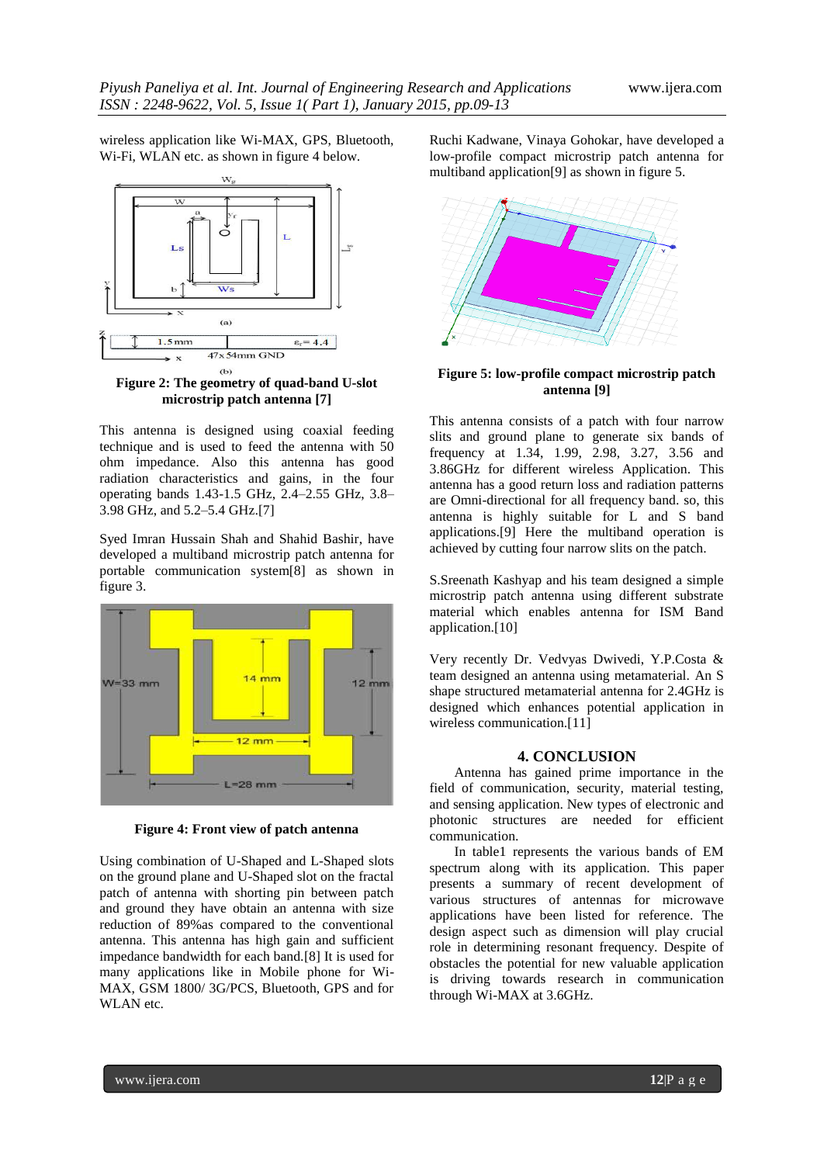wireless application like Wi-MAX, GPS, Bluetooth, Wi-Fi, WLAN etc. as shown in figure 4 below.



**Figure 2: The geometry of quad-band U-slot microstrip patch antenna [7]**

This antenna is designed using coaxial feeding technique and is used to feed the antenna with 50 ohm impedance. Also this antenna has good radiation characteristics and gains, in the four operating bands 1.43-1.5 GHz, 2.4–2.55 GHz, 3.8– 3.98 GHz, and 5.2–5.4 GHz.[7]

Syed Imran Hussain Shah and Shahid Bashir, have developed a multiband microstrip patch antenna for portable communication system[8] as shown in figure 3.



**Figure 4: Front view of patch antenna**

Using combination of U-Shaped and L-Shaped slots on the ground plane and U-Shaped slot on the fractal patch of antenna with shorting pin between patch and ground they have obtain an antenna with size reduction of 89%as compared to the conventional antenna. This antenna has high gain and sufficient impedance bandwidth for each band.[8] It is used for many applications like in Mobile phone for Wi-MAX, GSM 1800/ 3G/PCS, Bluetooth, GPS and for WLAN etc.

Ruchi Kadwane, Vinaya Gohokar, have developed a low-profile compact microstrip patch antenna for multiband application[9] as shown in figure 5.



**Figure 5: low-profile compact microstrip patch antenna [9]**

This antenna consists of a patch with four narrow slits and ground plane to generate six bands of frequency at 1.34, 1.99, 2.98, 3.27, 3.56 and 3.86GHz for different wireless Application. This antenna has a good return loss and radiation patterns are Omni-directional for all frequency band. so, this antenna is highly suitable for L and S band applications.[9] Here the multiband operation is achieved by cutting four narrow slits on the patch.

S.Sreenath Kashyap and his team designed a simple microstrip patch antenna using different substrate material which enables antenna for ISM Band application.[10]

Very recently Dr. Vedvyas Dwivedi, Y.P.Costa & team designed an antenna using metamaterial. An S shape structured metamaterial antenna for 2.4GHz is designed which enhances potential application in wireless communication.[11]

## **4. CONCLUSION**

Antenna has gained prime importance in the field of communication, security, material testing, and sensing application. New types of electronic and photonic structures are needed for efficient communication.

In table1 represents the various bands of EM spectrum along with its application. This paper presents a summary of recent development of various structures of antennas for microwave applications have been listed for reference. The design aspect such as dimension will play crucial role in determining resonant frequency. Despite of obstacles the potential for new valuable application is driving towards research in communication through Wi-MAX at 3.6GHz.